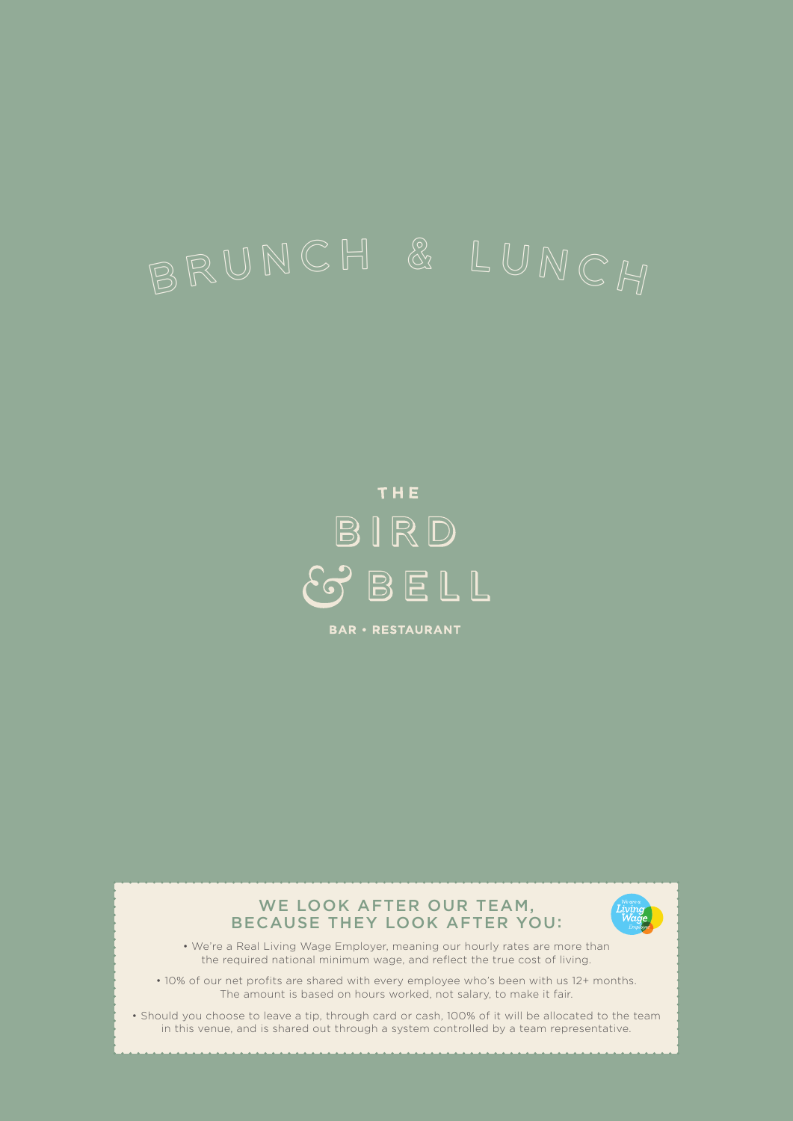# BRUNCH & LUNCH

# THE BIRD BELL

**BAR · RESTAURANT** 



• Should you choose to leave a tip, through card or cash, 100% of it will be allocated to the team in this venue, and is shared out through a system controlled by a team representative.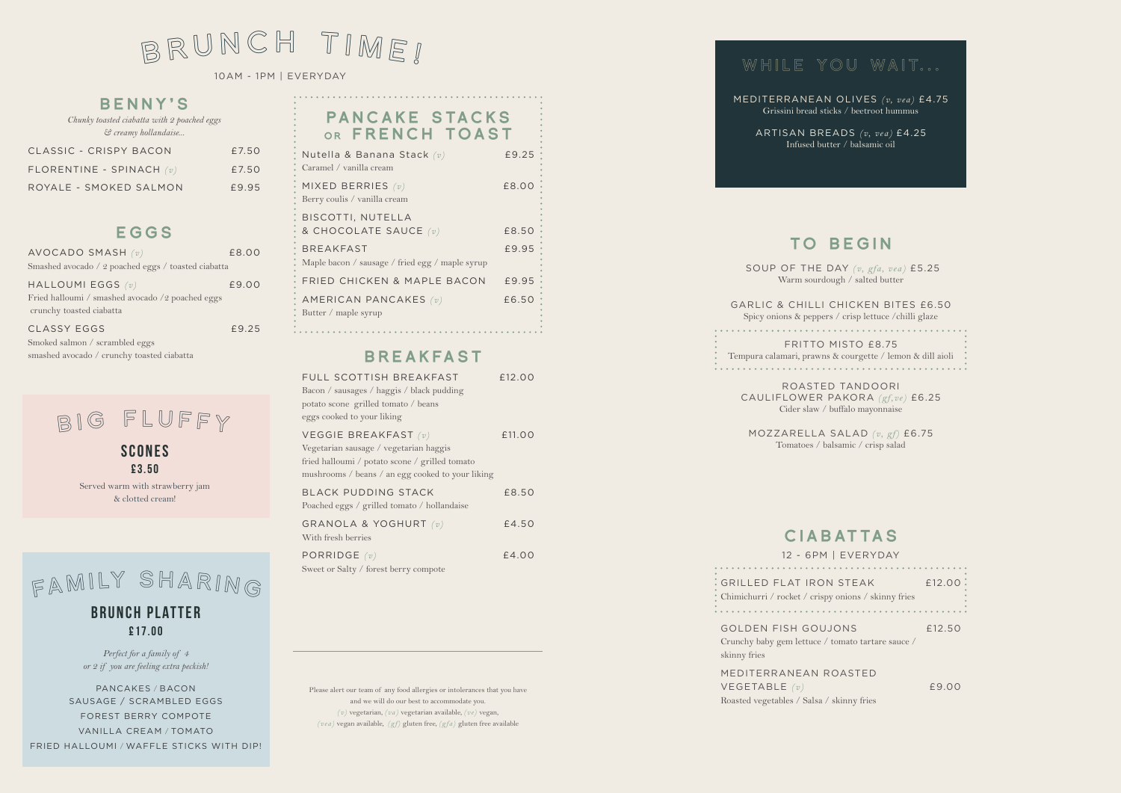MEDITERRANEAN OLIVES *(v, vea)* £4.75 Grissini bread sticks / beetroot hummus

ARTISAN BREADS *(v, vea)* £4.25 Infused butter / balsamic oil

# TO BEGIN

 SOUP OF THE DAY *(v, gfa, vea)* £5.25 Warm sourdough / salted butter

GARLIC & CHILLI CHICKEN BITES £6.50 Spicy onions & peppers / crisp lettuce /chilli glaze

FRITTO MISTO £8.75 Tempura calamari, prawns & courgette / lemon & dill aioli 

GOLDEN FISH GOUJON Crunchy baby gem lettuce / tom skinny fries

ROASTED TANDOORI CAULIFLOWER PAKORA *(gf,ve)* £6.25

Cider slaw / buffalo mayonnaise

MOZZARELLA SALAD *(v, gf)* £6.75 Tomatoes / balsamic / crisp salad

# CIABATTAS

GRILLED FLAT IRON ST Chimichurri / rocket / crispy oni 

12 - 6PM | EVERYDAY

| TEAK                | £12.00 |  |
|---------------------|--------|--|
| ons / skinny fries  |        |  |
|                     |        |  |
| IS                  | £12.50 |  |
| ato tartare sauce / |        |  |

## PANCAKE STACKS OR FRENCH TOAST

MEDITERRANEAN ROASTED VEGETABLE *(v)* £9.00 Roasted vegetables / Salsa / skinny fries

Please alert our team of any food allergies or intolerances that you have and we will do our best to accommodate you. *(v)* vegetarian, *(va)* vegetarian available, *(ve)* vegan, *(vea)* vegan available, *(gf)* gluten free, *(gfa)* gluten free available

# WHILE YOU WAIT...

### BENNY'S

*Chunky toasted ciabatta with 2 poached eggs & creamy hollandaise...* 

| CLASSIC - CRISPY BACON     | £7.50 |
|----------------------------|-------|
| FLORENTINE - SPINACH $(v)$ | £7.50 |
| ROYALE - SMOKED SALMON     | £9.95 |

### EGGS

**SCONES** £3.50

| AVOCADO SMASH (v)                                                       | £8.00 |
|-------------------------------------------------------------------------|-------|
| Smashed avocado / 2 poached eggs / toasted ciabatta                     |       |
| HALLOUMI EGGS $(v)$<br>Fried halloumi / smashed avocado /2 poached eggs | £9.00 |
| crunchy toasted ciabatta<br><b>CLASSY EGGS</b>                          | £9.25 |
| Smoked salmon / scrambled eggs                                          |       |
| smashed avocado / crunchy toasted ciabatta                              |       |

BIG FLUFFY

| Nutella & Banana Stack (v)<br>Caramel / vanilla cream | £9.25   |
|-------------------------------------------------------|---------|
| MIXED BERRIES $(v)$<br>Berry coulis / vanilla cream   | £8.00 ; |
| BISCOTTI, NUTELLA                                     |         |
| & CHOCOLATE SAUCE (v)                                 | £8.50 · |
| <b>BREAKFAST</b>                                      | £9.95   |
| Maple bacon / sausage / fried egg / maple syrup       |         |
| FRIED CHICKEN & MAPLE BACON                           | £9.95 · |
| AMERICAN PANCAKES (v)<br>Butter / maple syrup         | £6.50 ° |
|                                                       |         |

## BREAKFAST

| FULL SCOTTISH BREAKFAST<br>Bacon / sausages / haggis / black pudding<br>potato scone grilled tomato / beans<br>eggs cooked to your liking                              | £12.00 |
|------------------------------------------------------------------------------------------------------------------------------------------------------------------------|--------|
| VEGGIE BREAKFAST $(v)$<br>Vegetarian sausage / vegetarian haggis<br>fried halloumi / potato scone / grilled tomato<br>mushrooms / beans / an egg cooked to your liking | £11.00 |
| <b>BLACK PUDDING STACK</b><br>Poached eggs / grilled tomato / hollandaise                                                                                              | £8.50  |
| GRANOLA & YOGHURT $(v)$<br>With fresh berries                                                                                                                          | £4.50  |
| PORRIDGE $(v)$<br>Sweet or Salty / forest berry compote                                                                                                                | £4.00  |

*Perfect for a family of 4 or 2 if you are feeling extra peckish!* 

PANCAKES / BACON SAUSAGE / SCRAMBLED EGGS FOREST BERRY COMPOTE VANILLA CREAM / TOMATO FRIED HALLOUMI / WAFFLE STICKS WITH DIP!

# BRUNCH TIME!

10AM - 1PM | EVERYDAY

Served warm with strawberry jam & clotted cream!

# FAMILY SHARING

BRUNCH PLATTER £17.00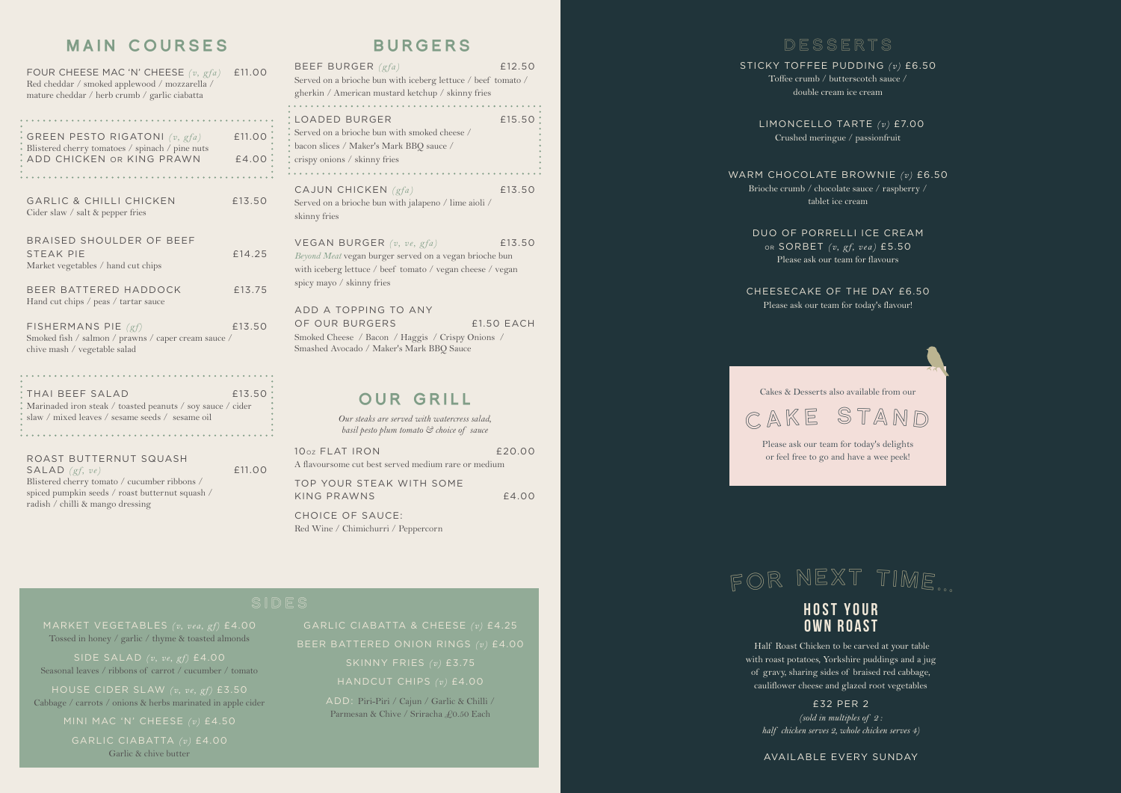# BURGERS

| BEEF BURGER $(gfa)$<br>Served on a brioche bun with iceberg lettuce / beef tomato /<br>gherkin / American mustard ketchup / skinny fries                                        | £12.50            |
|---------------------------------------------------------------------------------------------------------------------------------------------------------------------------------|-------------------|
| LOADED BURGER<br>Served on a brioche bun with smoked cheese /<br>bacon slices / Maker's Mark BBQ sauce /<br>crispy onions / skinny fries<br>.                                   | £15.50            |
| CAJUN CHICKEN (gfa)<br>Served on a brioche bun with jalapeno / lime aioli /<br>skinny fries                                                                                     | £13.50            |
| VEGAN BURGER $(v, ve, gfa)$<br>Beyond Meat vegan burger served on a vegan brioche bun<br>with iceberg lettuce / beef tomato / vegan cheese / vegan<br>spicy mayo / skinny fries | £13.50            |
| ADD A TOPPING TO ANY<br>OF OUR BURGERS<br>Smoked Cheese / Bacon / Haggis / Crispy Onions /<br>Smashed Avocado / Maker's Mark BBQ Sauce                                          | <b>£1.50 EACH</b> |
| OUR GRILL                                                                                                                                                                       |                   |

*Our steaks are served with watercress salad, basil pesto plum tomato & choice of sauce* 

| 10 <sub>0z</sub> FLAT IRON                          | f20.00 |
|-----------------------------------------------------|--------|
| A flavoursome cut best served medium rare or medium |        |
| TOP YOUR STEAK WITH SOME                            |        |
| KING PRAWNS                                         | f4.00  |
|                                                     |        |

CHOICE OF SAUCE: Red Wine / Chimichurri / Peppercorn

## MAIN COURSES

| FOUR CHEESE MAC 'N' CHEESE $(v, gfa)$<br>Red cheddar / smoked applewood / mozzarella /<br>mature cheddar / herb crumb / garlic ciabatta | £11.00          |
|-----------------------------------------------------------------------------------------------------------------------------------------|-----------------|
| GREEN PESTO RIGATONI $(v, gfa)$<br>Blistered cherry tomatoes / spinach / pine nuts<br>ADD CHICKEN OR KING PRAWN                         | £11.00<br>£4.00 |
| <b>GARLIC &amp; CHILLI CHICKEN</b><br>Cider slaw $\ell$ salt & pepper fries                                                             | £13.50          |
| <b>BRAISED SHOULDER OF BEEF</b><br><b>STFAK PIF</b><br>Market vegetables / hand cut chips                                               | £14.25          |
| BEER BATTERED HADDOCK<br>Hand cut chips / peas / tartar sauce                                                                           | £13.75          |
| FISHERMANS PIE $(gf)$<br>Smoked fish / salmon / prawns / caper cream sauce /<br>chive mash / vegetable salad                            | £13.50          |
| THAI BEEF SALAD                                                                                                                         | £13.50          |

| I THAI BEEF SALAD                                             | $\pm 15.50$ . |           |
|---------------------------------------------------------------|---------------|-----------|
| * Marinaded iron steak / toasted peanuts / soy sauce / cider  |               | $\bullet$ |
| $\frac{1}{2}$ slaw / mixed leaves / sesame seeds / sesame oil |               | $\bullet$ |
|                                                               |               | $\bullet$ |
|                                                               |               |           |
|                                                               |               |           |
|                                                               |               |           |

ROAST BUTTERNUT SQUASH SALAD *(gf, ve)* £11.00 Blistered cherry tomato / cucumber ribbons / spiced pumpkin seeds / roast butternut squash / radish / chilli & mango dressing

# DESSERTS

STICKY TOFFEE PUDDING *(v)* £6.50 Toffee crumb / butterscotch sauce / double cream ice cream

 LIMONCELLO TARTE *(v)* £7.00 Crushed meringue / passionfruit

WARM CHOCOLATE BROWNIE *(v)* £6.50 Brioche crumb / chocolate sauce / raspberry / tablet ice cream

> DUO OF PORRELLI ICE CREAM OR SORBET *(v, gf, vea)* £5.50 Please ask our team for flavours

CHEESECAKE OF THE DAY £6.50 Please ask our team for today's flavour!



Please ask our team for today's delights or feel free to go and have a wee peek!

# FOR NEX<sup>T</sup> TIME...

### HOST YOUR OWN ROAST

 Half Roast Chicken to be carved at your table with roast potatoes, Yorkshire puddings and a jug of gravy, sharing sides of braised red cabbage, cauliflower cheese and glazed root vegetables

£32 PER 2 *(sold in multiples of 2 : half chicken serves 2, whole chicken serves 4)* 

AVAILABLE EVERY SUNDAY

Tossed in honey / garlic / thyme & toasted almonds

SIDE SALAD *(v, ve, gf)* £4.00 Seasonal leaves / ribbons of carrot / cucumber / tomato

Cabbage / carrots / onions & herbs marinated in apple cider

Garlic & chive butter

ADD: Piri-Piri / Cajun / Garlic & Chilli / Parmesan & Chive / Sriracha £0.50 Each

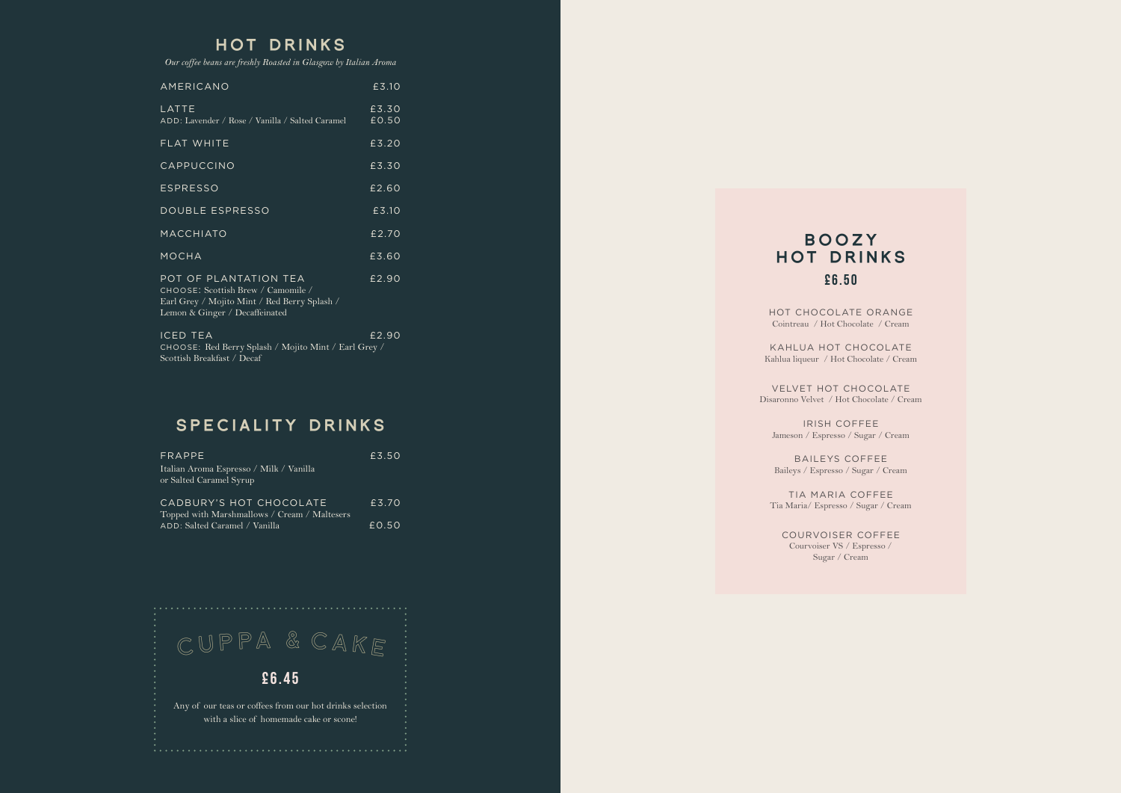### HOT DRINKS

*Our coffee beans are freshly Roasted in Glasgow by Italian Aroma* 

| <b>AMERICANO</b>                                                                                                                              | £3.10          |
|-----------------------------------------------------------------------------------------------------------------------------------------------|----------------|
| LATTE<br>ADD: Lavender / Rose / Vanilla / Salted Caramel                                                                                      | £3.30<br>£0.50 |
| FLAT WHITE                                                                                                                                    | £3.20          |
| CAPPUCCINO                                                                                                                                    | £3.30          |
| <b>ESPRESSO</b>                                                                                                                               | £2.60          |
| DOUBLE ESPRESSO                                                                                                                               | £3.10          |
| MACCHIATO                                                                                                                                     | E2.70          |
| <b>MOCHA</b>                                                                                                                                  | £3.60          |
| POT OF PLANTATION TEA<br>CHOOSE: Scottish Brew / Camomile /<br>Earl Grey / Mojito Mint / Red Berry Splash /<br>Lemon & Ginger / Decaffeinated | £2.90          |
| <b>ICED TEA</b><br>CHOOSE: Red Berry Splash / Mojito Mint / Earl Grey /                                                                       | £2.90          |

Scottish Breakfast / Decaf

## SPECIALITY DRINKS

| FRAPPE                                                             | £3.50 |
|--------------------------------------------------------------------|-------|
| Italian Aroma Espresso / Milk / Vanilla<br>or Salted Caramel Syrup |       |
| CADBURY'S HOT CHOCOLATE                                            | £3.70 |
| Topped with Marshmallows / Cream / Maltesers                       |       |
| ADD: Salted Caramel / Vanilla                                      | E0.50 |



# BOOZY HOT DRINKS £6.50

HOT CHOCOLATE ORANGE Cointreau / Hot Chocolate / Cream

KAHLUA HOT CHOCOLATE Kahlua liqueur / Hot Chocolate / Cream

VELVET HOT CHOCOLATE Disaronno Velvet / Hot Chocolate / Cream

IRISH COFFEE Jameson / Espresso / Sugar / Cream

BAILEYS COFFEE Baileys / Espresso / Sugar / Cream

TIA MARIA COFFEE Tia Maria/ Espresso / Sugar / Cream

COURVOISER COFFEE Courvoiser VS / Espresso / Sugar / Cream